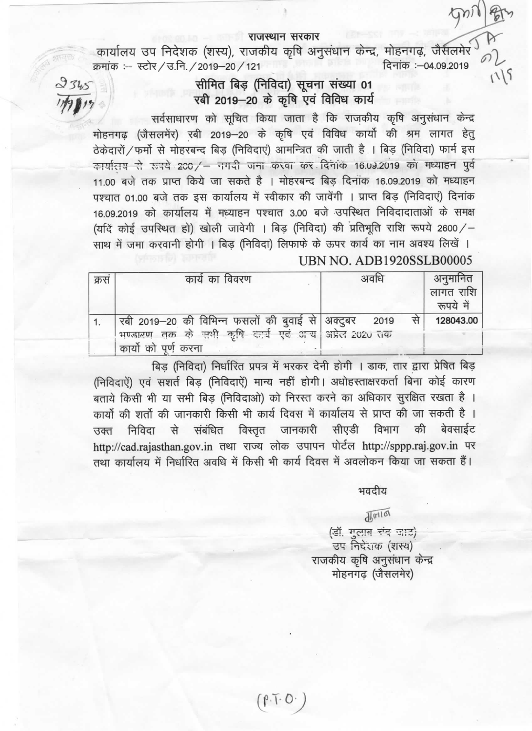## राजस्थान सरकार

कार्यालय उप निदेशक (शस्य), राजकीय कृषि अनुसंधान केन्द्र, मोहनगढ़, जैसलमेर दिनांक :- 04.09.2019 क्रमांक :- स्टोर / उ.नि. / 2019-20 / 121

## सीमित बिड़ (निविदा) सूचना संख्या 01 रबी 2019-20 के कृषि एवं विविध कार्य

 $2345$ 

सर्वसाधारण को सुचित किया जाता है कि राजकीय कृषि अनुसंधान केन्द्र मोहनगढ़ (जैसलमेंर) रबी 2019-20 के कृषि एवं विविध कार्यो की श्रम लागत हेतू ठेकेदारों / फर्मो से मोहरबन्द बिड (निविदाएं) आमन्त्रित की जाती है । बिड़ (निविदा) फार्म इस कार्यातय से रुपये 200/ - नगदी जना करवा कर दिनांक 16.09.2019 को मध्याहन पूर्व 11.00 बजे तक प्राप्त किये जा सकते है । मोहरबन्द बिड दिनांक 16.09.2019 को मध्याहन पश्चात 01.00 बजे तक इस कार्यालय में स्वीकार की जावेंगी । प्राप्त बिड (निविदाएं) दिनांक 16.09.2019 को कार्यालय में मध्याहन पश्चात 3.00 बजे उपस्थित निविदादाताओं के समक्ष (यदिं कोई उपस्थित हो) खोली जावेगी । बिड (निविदा) की प्रतिभूति राशि रूपये 2600/-साथ में जमा करवानी होगी । बिड (निविदा) लिफाफे के ऊपर कार्य का नाम अवश्य लिखें । **UBN NO. ADB1920SSLB00005** 

| क्रसं | कार्य का विवरण                                                                                                                     | अवधि | अनुमानित<br>लागत राशि  <br>रूपये में |
|-------|------------------------------------------------------------------------------------------------------------------------------------|------|--------------------------------------|
|       | रबी 2019–20 की विभिन्न फसलों की बुवाई से अक्टुबर 2019<br>भण्डारण तक के सभी कृषि कर्म एवं आय अप्रेल 2020 तक<br>कार्यो को पूर्ण करना | से   | 128043.00                            |

बिड़ (निविदा) निर्धारित प्रपत्र में भरकर देनी होगी । डाक, तार द्वारा प्रेषित बिड़ (निविदाऐं) एवं सशर्त बिड़ (निविदाऐं) मान्य नहीं होगी। अधोहस्ताक्षरकर्ता बिना कोई कारण बताये किसी भी या सभी बिड़ (निविदाओ) को निरस्त करने का अधिकार सुरक्षित रखता है । कार्यों की शर्तों की जानकारी किसी भी कार्य दिवस में कार्यालय से प्राप्त की जा सकती है । उक्त निविदा से संबंधित विस्तृत जानकारी सीएडी विभाग की बेवसाईट http://cad.rajasthan.gov.in तथा राज्य लोक उपापन पोर्टल http://sppp.raj.gov.in पर तथा कार्यालय में निर्धारित अवधि में किसी भी कार्य दिवस में अवलोकन किया जा सकता हैं।

भवदीय

 $115$ 

 $\sqrt{4}$ mia

(डॉ. एलाब रंद जाट) उप निदेशक (शस्य) राजकीय कृषि अनुसंधान केन्द्र मोहनगढ (जैसलमेर)